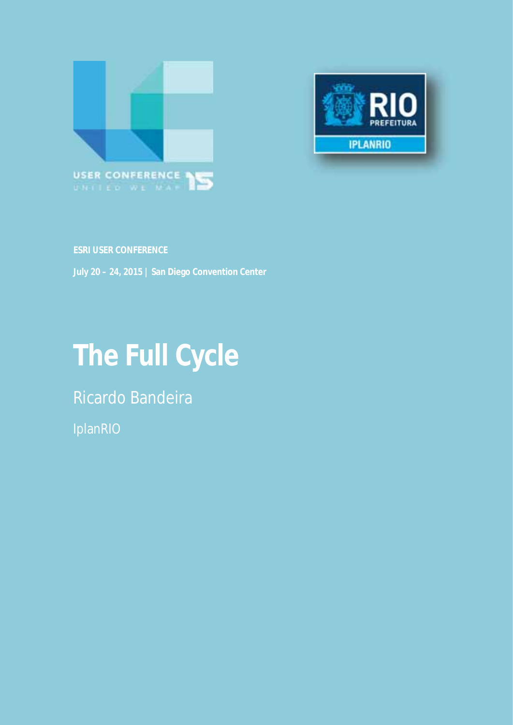



**ESRI USER CONFERENCE** 

**July 20 – 24, 2015 | San Diego Convention Center** 

# **The Full Cycle**

Ricardo Bandeira

IplanRIO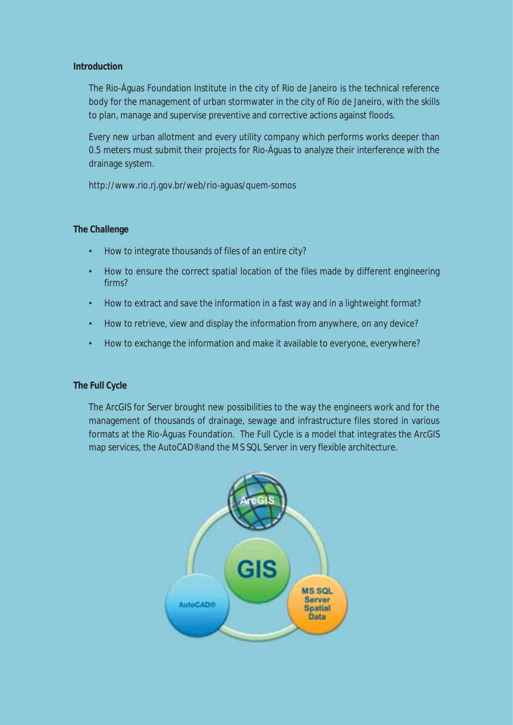# **Introduction**

The Rio-Águas Foundation Institute in the city of Rio de Janeiro is the technical reference body for the management of urban stormwater in the city of Rio de Janeiro, with the skills to plan, manage and supervise preventive and corrective actions against floods.

Every new urban allotment and every utility company which performs works deeper than 0.5 meters must submit their projects for Rio-Águas to analyze their interference with the drainage system.

http://www.rio.rj.gov.br/web/rio-aguas/quem-somos

# **The Challenge**

- How to integrate thousands of files of an entire city?
- How to ensure the correct spatial location of the files made by different engineering firms?
- How to extract and save the information in a fast way and in a lightweight format?
- How to retrieve, view and display the information from anywhere, on any device?
- How to exchange the information and make it available to everyone, everywhere?

#### **The Full Cycle**

The ArcGIS for Server brought new possibilities to the way the engineers work and for the management of thousands of drainage, sewage and infrastructure files stored in various formats at the Rio-Águas Foundation. The Full Cycle is a model that integrates the ArcGIS map services, the AutoCAD® and the MS SQL Server in very flexible architecture.

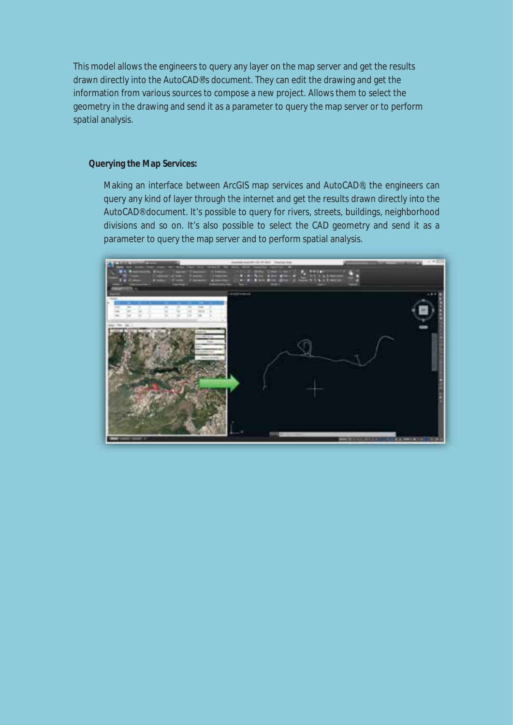This model allows the engineers to query any layer on the map server and get the results drawn directly into the AutoCAD®'s document. They can edit the drawing and get the information from various sources to compose a new project. Allows them to select the geometry in the drawing and send it as a parameter to query the map server or to perform spatial analysis.

## **Querying the Map Services:**

Making an interface between ArcGIS map services and AutoCAD®, the engineers can query any kind of layer through the internet and get the results drawn directly into the AutoCAD® document. It's possible to query for rivers, streets, buildings, neighborhood divisions and so on. It's also possible to select the CAD geometry and send it as a parameter to query the map server and to perform spatial analysis.

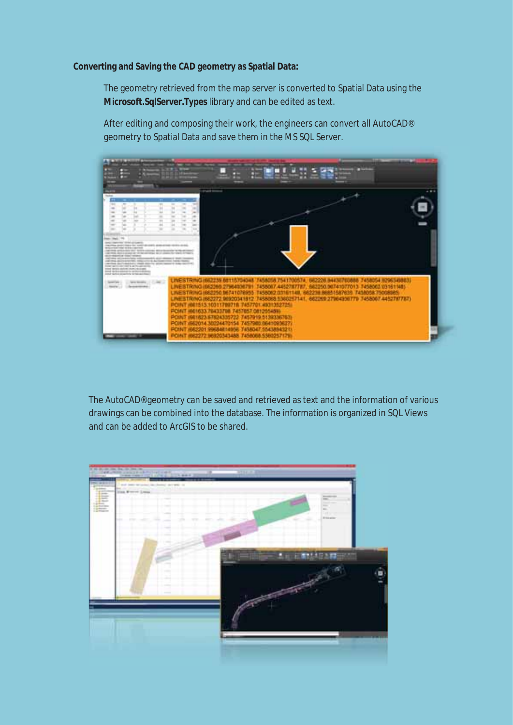#### **Converting and Saving the CAD geometry as Spatial Data:**

The geometry retrieved from the map server is converted to Spatial Data using the **Microsoft.SqlServer.Types** library and can be edited as text.

After editing and composing their work, the engineers can convert all AutoCAD® geometry to Spatial Data and save them in the MS SQL Server.



The AutoCAD® geometry can be saved and retrieved as text and the information of various drawings can be combined into the database. The information is organized in SQL Views and can be added to ArcGIS to be shared.

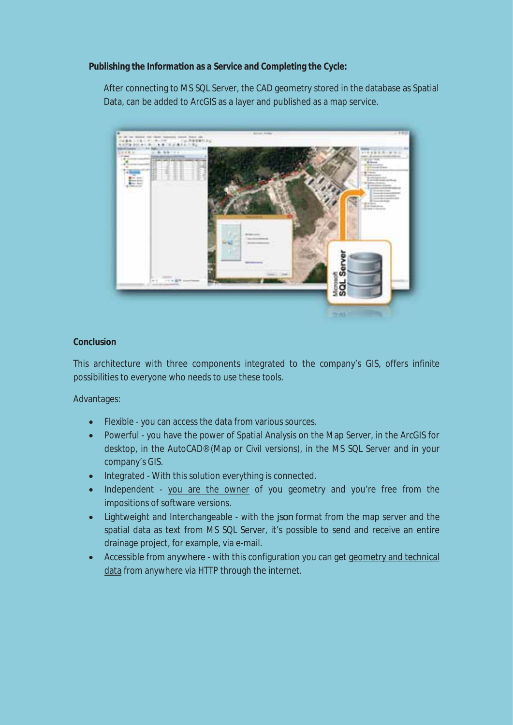# **Publishing the Information as a Service and Completing the Cycle:**

After connecting to MS SQL Server, the CAD geometry stored in the database as Spatial Data, can be added to ArcGIS as a layer and published as a map service.



# **Conclusion**

This architecture with three components integrated to the company's GIS, offers infinite possibilities to everyone who needs to use these tools.

Advantages:

- Flexible you can access the data from various sources.
- Powerful you have the power of Spatial Analysis on the Map Server, in the ArcGIS for desktop, in the AutoCAD® (Map or Civil versions), in the MS SQL Server and in your company's GIS.
- Integrated With this solution everything is connected.
- Independent you are the owner of you geometry and you're free from the impositions of software versions.
- Lightweight and Interchangeable with the *json* format from the map server and the spatial data as text from MS SQL Server, it's possible to send and receive an entire drainage project, for example, via e-mail.
- Accessible from anywhere with this configuration you can get geometry and technical data from anywhere via HTTP through the internet.